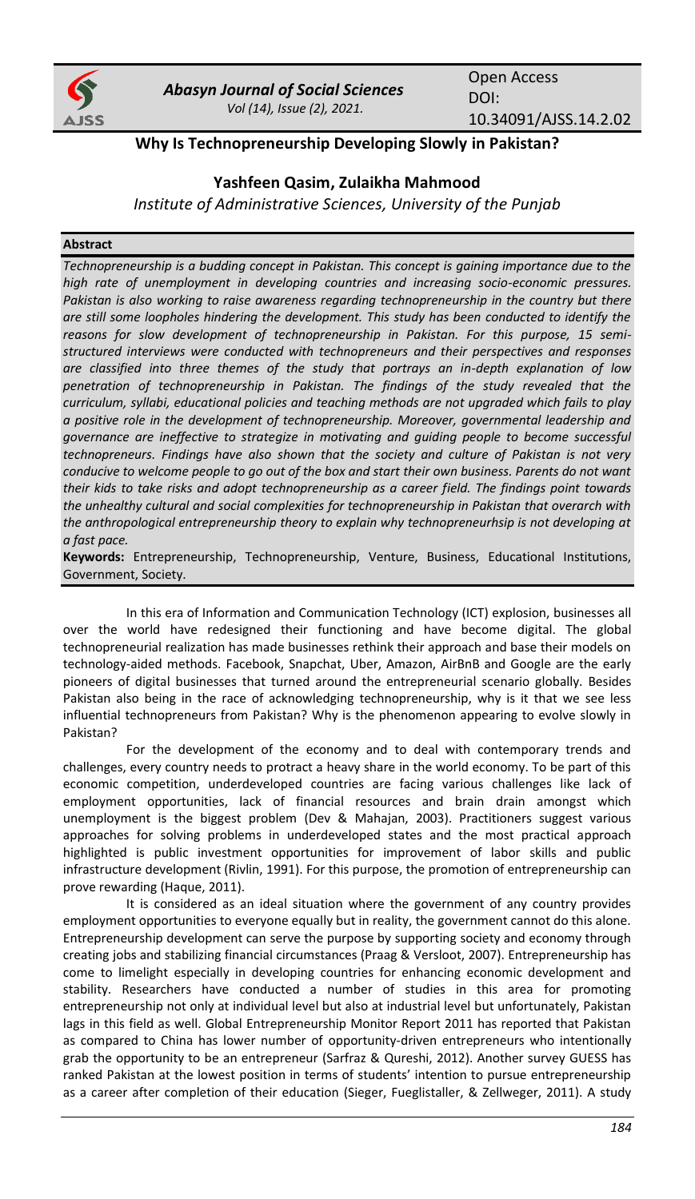

*Abasyn Journal of Social Sciences Vol (14), Issue (2), 2021.*

Open Access DOI: 10.34091/AJSS.14.2.02

# **Why Is Technopreneurship Developing Slowly in Pakistan?**

# **Yashfeen Qasim, Zulaikha Mahmood**

*Institute of Administrative Sciences, University of the Punjab*

# **Abstract**

*Technopreneurship is a budding concept in Pakistan. This concept is gaining importance due to the high rate of unemployment in developing countries and increasing socio-economic pressures.*  Pakistan is also working to raise awareness regarding technopreneurship in the country but there *are still some loopholes hindering the development. This study has been conducted to identify the reasons for slow development of technopreneurship in Pakistan. For this purpose, 15 semistructured interviews were conducted with technopreneurs and their perspectives and responses are classified into three themes of the study that portrays an in-depth explanation of low penetration of technopreneurship in Pakistan. The findings of the study revealed that the curriculum, syllabi, educational policies and teaching methods are not upgraded which fails to play a positive role in the development of technopreneurship. Moreover, governmental leadership and governance are ineffective to strategize in motivating and guiding people to become successful technopreneurs. Findings have also shown that the society and culture of Pakistan is not very conducive to welcome people to go out of the box and start their own business. Parents do not want their kids to take risks and adopt technopreneurship as a career field. The findings point towards the unhealthy cultural and social complexities for technopreneurship in Pakistan that overarch with the anthropological entrepreneurship theory to explain why technopreneurhsip is not developing at a fast pace.* 

**Keywords:** Entrepreneurship, Technopreneurship, Venture, Business, Educational Institutions, Government, Society.

In this era of Information and Communication Technology (ICT) explosion, businesses all over the world have redesigned their functioning and have become digital. The global technopreneurial realization has made businesses rethink their approach and base their models on technology-aided methods. Facebook, Snapchat, Uber, Amazon, AirBnB and Google are the early pioneers of digital businesses that turned around the entrepreneurial scenario globally. Besides Pakistan also being in the race of acknowledging technopreneurship, why is it that we see less influential technopreneurs from Pakistan? Why is the phenomenon appearing to evolve slowly in Pakistan?

For the development of the economy and to deal with contemporary trends and challenges, every country needs to protract a heavy share in the world economy. To be part of this economic competition, underdeveloped countries are facing various challenges like lack of employment opportunities, lack of financial resources and brain drain amongst which unemployment is the biggest problem (Dev & Mahajan, 2003). Practitioners suggest various approaches for solving problems in underdeveloped states and the most practical approach highlighted is public investment opportunities for improvement of labor skills and public infrastructure development (Rivlin, 1991). For this purpose, the promotion of entrepreneurship can prove rewarding (Haque, 2011).

It is considered as an ideal situation where the government of any country provides employment opportunities to everyone equally but in reality, the government cannot do this alone. Entrepreneurship development can serve the purpose by supporting society and economy through creating jobs and stabilizing financial circumstances (Praag & Versloot, 2007). Entrepreneurship has come to limelight especially in developing countries for enhancing economic development and stability. Researchers have conducted a number of studies in this area for promoting entrepreneurship not only at individual level but also at industrial level but unfortunately, Pakistan lags in this field as well. Global Entrepreneurship Monitor Report 2011 has reported that Pakistan as compared to China has lower number of opportunity-driven entrepreneurs who intentionally grab the opportunity to be an entrepreneur (Sarfraz & Qureshi, 2012). Another survey GUESS has ranked Pakistan at the lowest position in terms of students' intention to pursue entrepreneurship as a career after completion of their education (Sieger, Fueglistaller, & Zellweger, 2011). A study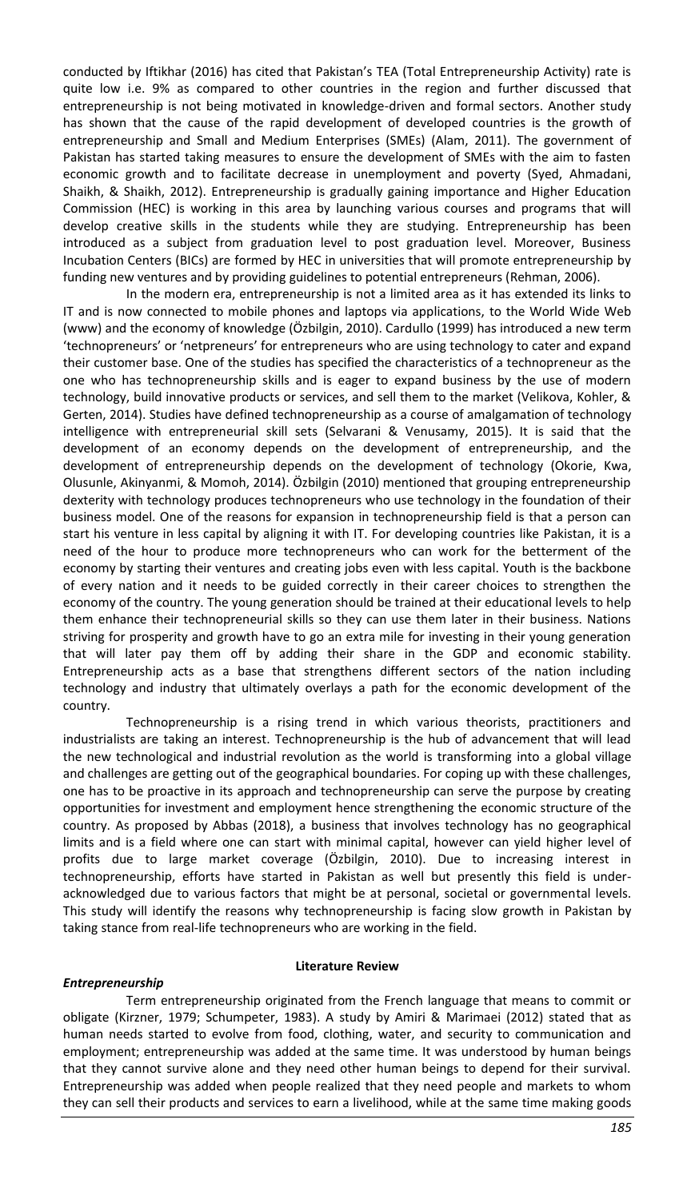conducted by Iftikhar (2016) has cited that Pakistan's TEA (Total Entrepreneurship Activity) rate is quite low i.e. 9% as compared to other countries in the region and further discussed that entrepreneurship is not being motivated in knowledge-driven and formal sectors. Another study has shown that the cause of the rapid development of developed countries is the growth of entrepreneurship and Small and Medium Enterprises (SMEs) (Alam, 2011). The government of Pakistan has started taking measures to ensure the development of SMEs with the aim to fasten economic growth and to facilitate decrease in unemployment and poverty (Syed, Ahmadani, Shaikh, & Shaikh, 2012). Entrepreneurship is gradually gaining importance and Higher Education Commission (HEC) is working in this area by launching various courses and programs that will develop creative skills in the students while they are studying. Entrepreneurship has been introduced as a subject from graduation level to post graduation level. Moreover, Business Incubation Centers (BICs) are formed by HEC in universities that will promote entrepreneurship by funding new ventures and by providing guidelines to potential entrepreneurs (Rehman, 2006).

In the modern era, entrepreneurship is not a limited area as it has extended its links to IT and is now connected to mobile phones and laptops via applications, to the World Wide Web (www) and the economy of knowledge (Özbilgin, 2010). Cardullo (1999) has introduced a new term 'technopreneurs' or 'netpreneurs' for entrepreneurs who are using technology to cater and expand their customer base. One of the studies has specified the characteristics of a technopreneur as the one who has technopreneurship skills and is eager to expand business by the use of modern technology, build innovative products or services, and sell them to the market (Velikova, Kohler, & Gerten, 2014). Studies have defined technopreneurship as a course of amalgamation of technology intelligence with entrepreneurial skill sets (Selvarani & Venusamy, 2015). It is said that the development of an economy depends on the development of entrepreneurship, and the development of entrepreneurship depends on the development of technology (Okorie, Kwa, Olusunle, Akinyanmi, & Momoh, 2014). Özbilgin (2010) mentioned that grouping entrepreneurship dexterity with technology produces technopreneurs who use technology in the foundation of their business model. One of the reasons for expansion in technopreneurship field is that a person can start his venture in less capital by aligning it with IT. For developing countries like Pakistan, it is a need of the hour to produce more technopreneurs who can work for the betterment of the economy by starting their ventures and creating jobs even with less capital. Youth is the backbone of every nation and it needs to be guided correctly in their career choices to strengthen the economy of the country. The young generation should be trained at their educational levels to help them enhance their technopreneurial skills so they can use them later in their business. Nations striving for prosperity and growth have to go an extra mile for investing in their young generation that will later pay them off by adding their share in the GDP and economic stability. Entrepreneurship acts as a base that strengthens different sectors of the nation including technology and industry that ultimately overlays a path for the economic development of the country.

Technopreneurship is a rising trend in which various theorists, practitioners and industrialists are taking an interest. Technopreneurship is the hub of advancement that will lead the new technological and industrial revolution as the world is transforming into a global village and challenges are getting out of the geographical boundaries. For coping up with these challenges, one has to be proactive in its approach and technopreneurship can serve the purpose by creating opportunities for investment and employment hence strengthening the economic structure of the country. As proposed by Abbas (2018), a business that involves technology has no geographical limits and is a field where one can start with minimal capital, however can yield higher level of profits due to large market coverage (Özbilgin, 2010). Due to increasing interest in technopreneurship, efforts have started in Pakistan as well but presently this field is underacknowledged due to various factors that might be at personal, societal or governmental levels. This study will identify the reasons why technopreneurship is facing slow growth in Pakistan by taking stance from real-life technopreneurs who are working in the field.

## *Entrepreneurship*

### **Literature Review**

Term entrepreneurship originated from the French language that means to commit or obligate (Kirzner, 1979; Schumpeter, 1983). A study by Amiri & Marimaei (2012) stated that as human needs started to evolve from food, clothing, water, and security to communication and employment; entrepreneurship was added at the same time. It was understood by human beings that they cannot survive alone and they need other human beings to depend for their survival. Entrepreneurship was added when people realized that they need people and markets to whom they can sell their products and services to earn a livelihood, while at the same time making goods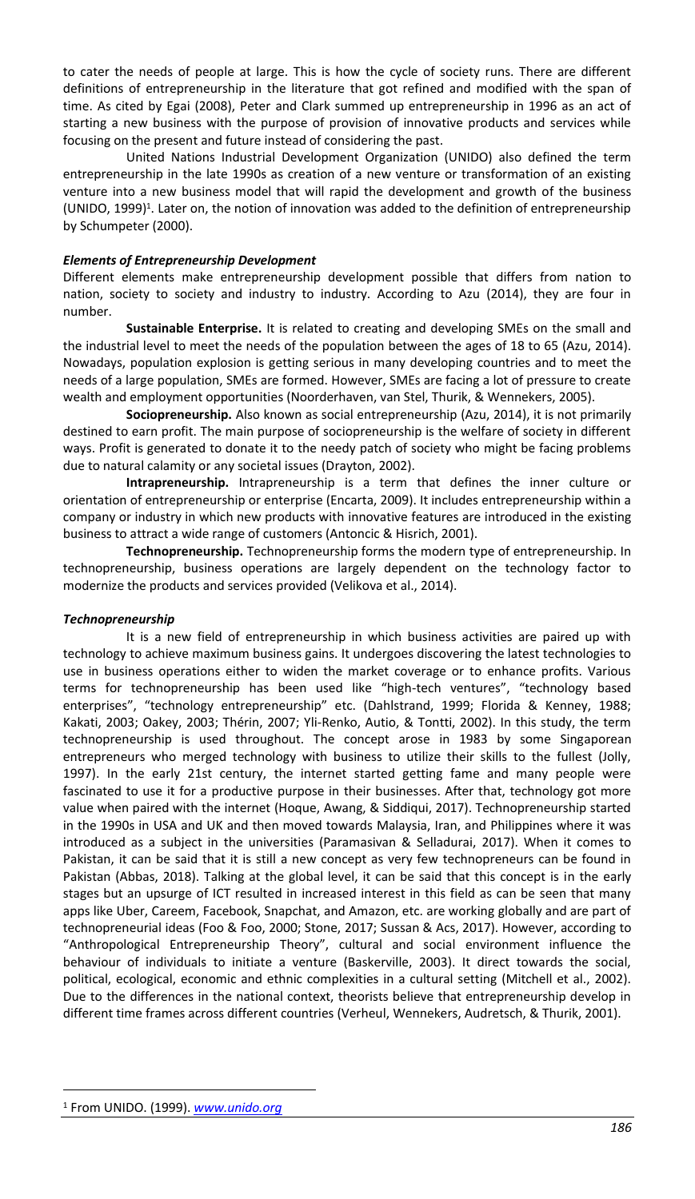to cater the needs of people at large. This is how the cycle of society runs. There are different definitions of entrepreneurship in the literature that got refined and modified with the span of time. As cited by Egai (2008), Peter and Clark summed up entrepreneurship in 1996 as an act of starting a new business with the purpose of provision of innovative products and services while focusing on the present and future instead of considering the past.

United Nations Industrial Development Organization (UNIDO) also defined the term entrepreneurship in the late 1990s as creation of a new venture or transformation of an existing venture into a new business model that will rapid the development and growth of the business (UNIDO, 1999)<sup>1</sup>. Later on, the notion of innovation was added to the definition of entrepreneurship by Schumpeter (2000).

# *Elements of Entrepreneurship Development*

Different elements make entrepreneurship development possible that differs from nation to nation, society to society and industry to industry. According to Azu (2014), they are four in number.

**Sustainable Enterprise.** It is related to creating and developing SMEs on the small and the industrial level to meet the needs of the population between the ages of 18 to 65 (Azu, 2014). Nowadays, population explosion is getting serious in many developing countries and to meet the needs of a large population, SMEs are formed. However, SMEs are facing a lot of pressure to create wealth and employment opportunities (Noorderhaven, van Stel, Thurik, & Wennekers, 2005).

**Sociopreneurship.** Also known as social entrepreneurship (Azu, 2014), it is not primarily destined to earn profit. The main purpose of sociopreneurship is the welfare of society in different ways. Profit is generated to donate it to the needy patch of society who might be facing problems due to natural calamity or any societal issues (Drayton, 2002).

**Intrapreneurship.** Intrapreneurship is a term that defines the inner culture or orientation of entrepreneurship or enterprise (Encarta, 2009). It includes entrepreneurship within a company or industry in which new products with innovative features are introduced in the existing business to attract a wide range of customers (Antoncic & Hisrich, 2001).

**Technopreneurship.** Technopreneurship forms the modern type of entrepreneurship. In technopreneurship, business operations are largely dependent on the technology factor to modernize the products and services provided (Velikova et al., 2014).

# *Technopreneurship*

It is a new field of entrepreneurship in which business activities are paired up with technology to achieve maximum business gains. It undergoes discovering the latest technologies to use in business operations either to widen the market coverage or to enhance profits. Various terms for technopreneurship has been used like "high-tech ventures", "technology based enterprises", "technology entrepreneurship" etc. (Dahlstrand, 1999; Florida & Kenney, 1988; Kakati, 2003; Oakey, 2003; Thérin, 2007; Yli-Renko, Autio, & Tontti, 2002). In this study, the term technopreneurship is used throughout. The concept arose in 1983 by some Singaporean entrepreneurs who merged technology with business to utilize their skills to the fullest (Jolly, 1997). In the early 21st century, the internet started getting fame and many people were fascinated to use it for a productive purpose in their businesses. After that, technology got more value when paired with the internet (Hoque, Awang, & Siddiqui, 2017). Technopreneurship started in the 1990s in USA and UK and then moved towards Malaysia, Iran, and Philippines where it was introduced as a subject in the universities (Paramasivan & Selladurai, 2017). When it comes to Pakistan, it can be said that it is still a new concept as very few technopreneurs can be found in Pakistan (Abbas, 2018). Talking at the global level, it can be said that this concept is in the early stages but an upsurge of ICT resulted in increased interest in this field as can be seen that many apps like Uber, Careem, Facebook, Snapchat, and Amazon, etc. are working globally and are part of technopreneurial ideas (Foo & Foo, 2000; Stone, 2017; Sussan & Acs, 2017). However, according to "Anthropological Entrepreneurship Theory", cultural and social environment influence the behaviour of individuals to initiate a venture (Baskerville, 2003). It direct towards the social, political, ecological, economic and ethnic complexities in a cultural setting (Mitchell et al., 2002). Due to the differences in the national context, theorists believe that entrepreneurship develop in different time frames across different countries (Verheul, Wennekers, Audretsch, & Thurik, 2001).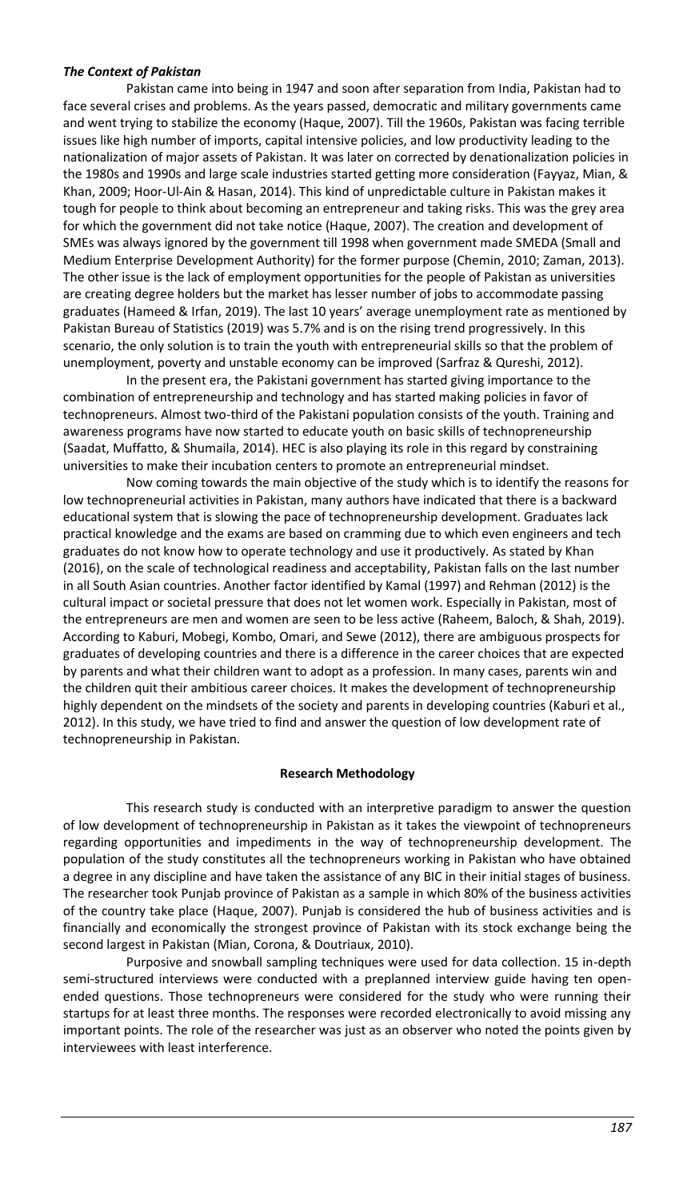### *The Context of Pakistan*

Pakistan came into being in 1947 and soon after separation from India, Pakistan had to face several crises and problems. As the years passed, democratic and military governments came and went trying to stabilize the economy (Haque, 2007). Till the 1960s, Pakistan was facing terrible issues like high number of imports, capital intensive policies, and low productivity leading to the nationalization of major assets of Pakistan. It was later on corrected by denationalization policies in the 1980s and 1990s and large scale industries started getting more consideration (Fayyaz, Mian, & Khan, 2009; Hoor-Ul-Ain & Hasan, 2014). This kind of unpredictable culture in Pakistan makes it tough for people to think about becoming an entrepreneur and taking risks. This was the grey area for which the government did not take notice (Haque, 2007). The creation and development of SMEs was always ignored by the government till 1998 when government made SMEDA (Small and Medium Enterprise Development Authority) for the former purpose (Chemin, 2010; Zaman, 2013). The other issue is the lack of employment opportunities for the people of Pakistan as universities are creating degree holders but the market has lesser number of jobs to accommodate passing graduates (Hameed & Irfan, 2019). The last 10 years' average unemployment rate as mentioned by Pakistan Bureau of Statistics (2019) was 5.7% and is on the rising trend progressively. In this scenario, the only solution is to train the youth with entrepreneurial skills so that the problem of unemployment, poverty and unstable economy can be improved (Sarfraz & Qureshi, 2012).

In the present era, the Pakistani government has started giving importance to the combination of entrepreneurship and technology and has started making policies in favor of technopreneurs. Almost two-third of the Pakistani population consists of the youth. Training and awareness programs have now started to educate youth on basic skills of technopreneurship (Saadat, Muffatto, & Shumaila, 2014). HEC is also playing its role in this regard by constraining universities to make their incubation centers to promote an entrepreneurial mindset.

Now coming towards the main objective of the study which is to identify the reasons for low technopreneurial activities in Pakistan, many authors have indicated that there is a backward educational system that is slowing the pace of technopreneurship development. Graduates lack practical knowledge and the exams are based on cramming due to which even engineers and tech graduates do not know how to operate technology and use it productively. As stated by Khan (2016), on the scale of technological readiness and acceptability, Pakistan falls on the last number in all South Asian countries. Another factor identified by Kamal (1997) and Rehman (2012) is the cultural impact or societal pressure that does not let women work. Especially in Pakistan, most of the entrepreneurs are men and women are seen to be less active (Raheem, Baloch, & Shah, 2019). According to Kaburi, Mobegi, Kombo, Omari, and Sewe (2012), there are ambiguous prospects for graduates of developing countries and there is a difference in the career choices that are expected by parents and what their children want to adopt as a profession. In many cases, parents win and the children quit their ambitious career choices. It makes the development of technopreneurship highly dependent on the mindsets of the society and parents in developing countries (Kaburi et al., 2012). In this study, we have tried to find and answer the question of low development rate of technopreneurship in Pakistan.

## **Research Methodology**

This research study is conducted with an interpretive paradigm to answer the question of low development of technopreneurship in Pakistan as it takes the viewpoint of technopreneurs regarding opportunities and impediments in the way of technopreneurship development. The population of the study constitutes all the technopreneurs working in Pakistan who have obtained a degree in any discipline and have taken the assistance of any BIC in their initial stages of business. The researcher took Punjab province of Pakistan as a sample in which 80% of the business activities of the country take place (Haque, 2007). Punjab is considered the hub of business activities and is financially and economically the strongest province of Pakistan with its stock exchange being the second largest in Pakistan (Mian, Corona, & Doutriaux, 2010).

Purposive and snowball sampling techniques were used for data collection. 15 in-depth semi-structured interviews were conducted with a preplanned interview guide having ten openended questions. Those technopreneurs were considered for the study who were running their startups for at least three months. The responses were recorded electronically to avoid missing any important points. The role of the researcher was just as an observer who noted the points given by interviewees with least interference.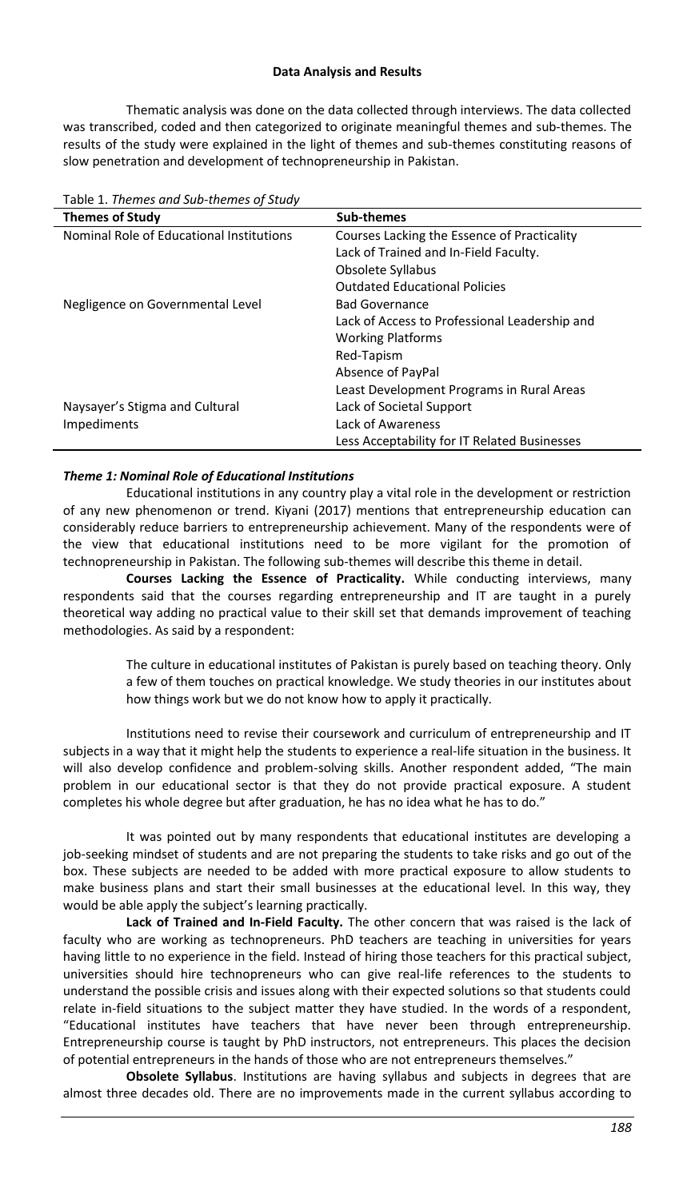### **Data Analysis and Results**

Thematic analysis was done on the data collected through interviews. The data collected was transcribed, coded and then categorized to originate meaningful themes and sub-themes. The results of the study were explained in the light of themes and sub-themes constituting reasons of slow penetration and development of technopreneurship in Pakistan.

| Table 1. Themes and Sub-themes of Study  |                                               |
|------------------------------------------|-----------------------------------------------|
| <b>Themes of Study</b>                   | Sub-themes                                    |
| Nominal Role of Educational Institutions | Courses Lacking the Essence of Practicality   |
|                                          | Lack of Trained and In-Field Faculty.         |
|                                          | Obsolete Syllabus                             |
|                                          | <b>Outdated Educational Policies</b>          |
| Negligence on Governmental Level         | <b>Bad Governance</b>                         |
|                                          | Lack of Access to Professional Leadership and |
|                                          | <b>Working Platforms</b>                      |
|                                          | Red-Tapism                                    |
|                                          | Absence of PayPal                             |
|                                          | Least Development Programs in Rural Areas     |
| Naysayer's Stigma and Cultural           | Lack of Societal Support                      |
| Impediments                              | Lack of Awareness                             |
|                                          | Less Acceptability for IT Related Businesses  |

# Table 1. *Themes and Sub-themes of Study*

# *Theme 1: Nominal Role of Educational Institutions*

Educational institutions in any country play a vital role in the development or restriction of any new phenomenon or trend. Kiyani (2017) mentions that entrepreneurship education can considerably reduce barriers to entrepreneurship achievement. Many of the respondents were of the view that educational institutions need to be more vigilant for the promotion of technopreneurship in Pakistan. The following sub-themes will describe this theme in detail.

**Courses Lacking the Essence of Practicality.** While conducting interviews, many respondents said that the courses regarding entrepreneurship and IT are taught in a purely theoretical way adding no practical value to their skill set that demands improvement of teaching methodologies. As said by a respondent:

> The culture in educational institutes of Pakistan is purely based on teaching theory. Only a few of them touches on practical knowledge. We study theories in our institutes about how things work but we do not know how to apply it practically.

Institutions need to revise their coursework and curriculum of entrepreneurship and IT subjects in a way that it might help the students to experience a real-life situation in the business. It will also develop confidence and problem-solving skills. Another respondent added, "The main problem in our educational sector is that they do not provide practical exposure. A student completes his whole degree but after graduation, he has no idea what he has to do."

It was pointed out by many respondents that educational institutes are developing a job-seeking mindset of students and are not preparing the students to take risks and go out of the box. These subjects are needed to be added with more practical exposure to allow students to make business plans and start their small businesses at the educational level. In this way, they would be able apply the subject's learning practically.

**Lack of Trained and In-Field Faculty.** The other concern that was raised is the lack of faculty who are working as technopreneurs. PhD teachers are teaching in universities for years having little to no experience in the field. Instead of hiring those teachers for this practical subject, universities should hire technopreneurs who can give real-life references to the students to understand the possible crisis and issues along with their expected solutions so that students could relate in-field situations to the subject matter they have studied. In the words of a respondent, "Educational institutes have teachers that have never been through entrepreneurship. Entrepreneurship course is taught by PhD instructors, not entrepreneurs. This places the decision of potential entrepreneurs in the hands of those who are not entrepreneurs themselves."

**Obsolete Syllabus**. Institutions are having syllabus and subjects in degrees that are almost three decades old. There are no improvements made in the current syllabus according to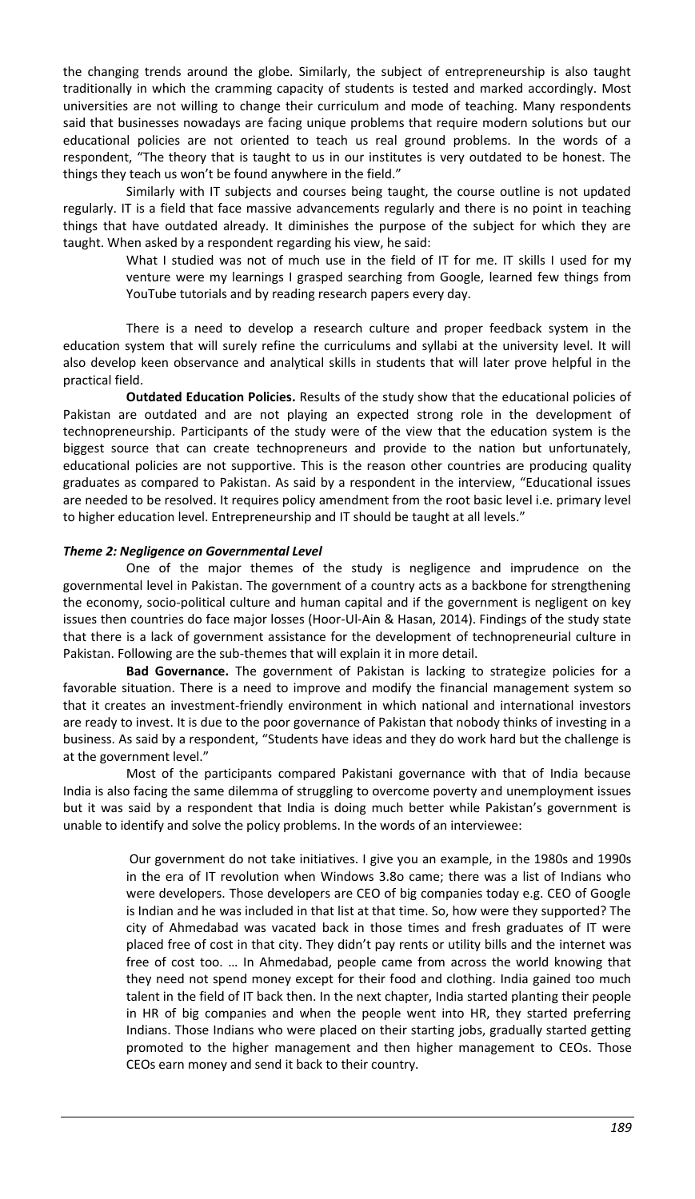the changing trends around the globe. Similarly, the subject of entrepreneurship is also taught traditionally in which the cramming capacity of students is tested and marked accordingly. Most universities are not willing to change their curriculum and mode of teaching. Many respondents said that businesses nowadays are facing unique problems that require modern solutions but our educational policies are not oriented to teach us real ground problems. In the words of a respondent, "The theory that is taught to us in our institutes is very outdated to be honest. The things they teach us won't be found anywhere in the field."

Similarly with IT subjects and courses being taught, the course outline is not updated regularly. IT is a field that face massive advancements regularly and there is no point in teaching things that have outdated already. It diminishes the purpose of the subject for which they are taught. When asked by a respondent regarding his view, he said:

> What I studied was not of much use in the field of IT for me. IT skills I used for my venture were my learnings I grasped searching from Google, learned few things from YouTube tutorials and by reading research papers every day.

There is a need to develop a research culture and proper feedback system in the education system that will surely refine the curriculums and syllabi at the university level. It will also develop keen observance and analytical skills in students that will later prove helpful in the practical field.

**Outdated Education Policies.** Results of the study show that the educational policies of Pakistan are outdated and are not playing an expected strong role in the development of technopreneurship. Participants of the study were of the view that the education system is the biggest source that can create technopreneurs and provide to the nation but unfortunately, educational policies are not supportive. This is the reason other countries are producing quality graduates as compared to Pakistan. As said by a respondent in the interview, "Educational issues are needed to be resolved. It requires policy amendment from the root basic level i.e. primary level to higher education level. Entrepreneurship and IT should be taught at all levels."

## *Theme 2: Negligence on Governmental Level*

One of the major themes of the study is negligence and imprudence on the governmental level in Pakistan. The government of a country acts as a backbone for strengthening the economy, socio-political culture and human capital and if the government is negligent on key issues then countries do face major losses (Hoor-Ul-Ain & Hasan, 2014). Findings of the study state that there is a lack of government assistance for the development of technopreneurial culture in Pakistan. Following are the sub-themes that will explain it in more detail.

**Bad Governance.** The government of Pakistan is lacking to strategize policies for a favorable situation. There is a need to improve and modify the financial management system so that it creates an investment-friendly environment in which national and international investors are ready to invest. It is due to the poor governance of Pakistan that nobody thinks of investing in a business. As said by a respondent, "Students have ideas and they do work hard but the challenge is at the government level."

Most of the participants compared Pakistani governance with that of India because India is also facing the same dilemma of struggling to overcome poverty and unemployment issues but it was said by a respondent that India is doing much better while Pakistan's government is unable to identify and solve the policy problems. In the words of an interviewee:

> Our government do not take initiatives. I give you an example, in the 1980s and 1990s in the era of IT revolution when Windows 3.8o came; there was a list of Indians who were developers. Those developers are CEO of big companies today e.g. CEO of Google is Indian and he was included in that list at that time. So, how were they supported? The city of Ahmedabad was vacated back in those times and fresh graduates of IT were placed free of cost in that city. They didn't pay rents or utility bills and the internet was free of cost too. … In Ahmedabad, people came from across the world knowing that they need not spend money except for their food and clothing. India gained too much talent in the field of IT back then. In the next chapter, India started planting their people in HR of big companies and when the people went into HR, they started preferring Indians. Those Indians who were placed on their starting jobs, gradually started getting promoted to the higher management and then higher management to CEOs. Those CEOs earn money and send it back to their country.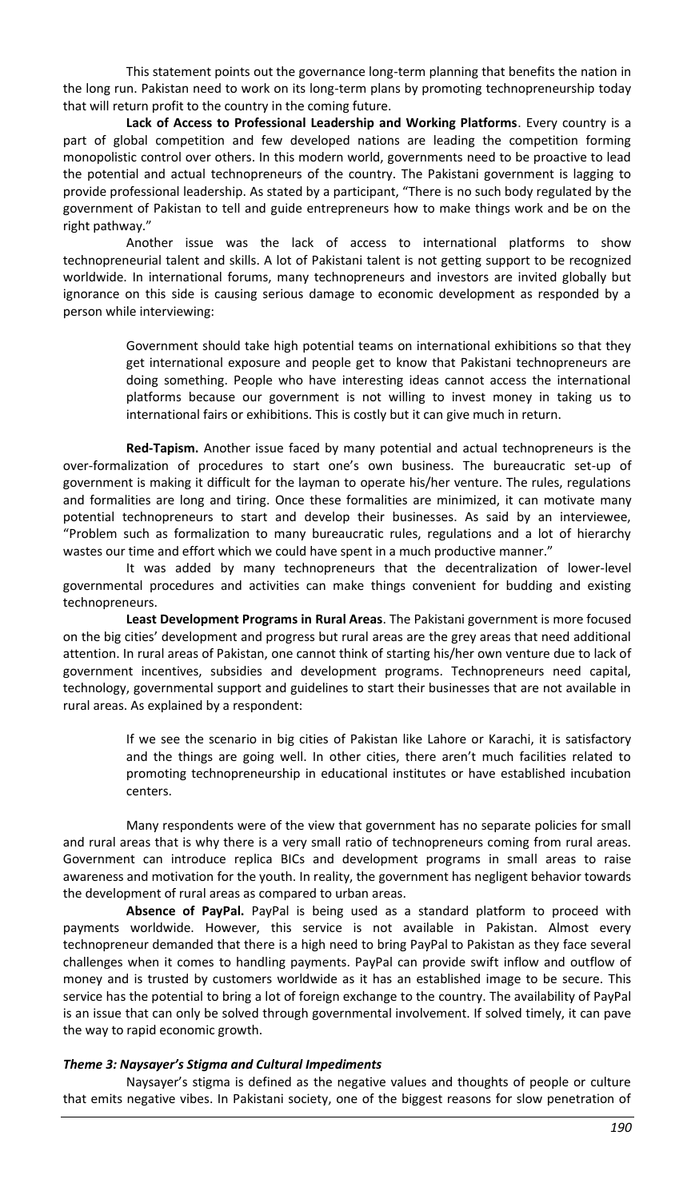This statement points out the governance long-term planning that benefits the nation in the long run. Pakistan need to work on its long-term plans by promoting technopreneurship today that will return profit to the country in the coming future.

**Lack of Access to Professional Leadership and Working Platforms**. Every country is a part of global competition and few developed nations are leading the competition forming monopolistic control over others. In this modern world, governments need to be proactive to lead the potential and actual technopreneurs of the country. The Pakistani government is lagging to provide professional leadership. As stated by a participant, "There is no such body regulated by the government of Pakistan to tell and guide entrepreneurs how to make things work and be on the right pathway."

Another issue was the lack of access to international platforms to show technopreneurial talent and skills. A lot of Pakistani talent is not getting support to be recognized worldwide. In international forums, many technopreneurs and investors are invited globally but ignorance on this side is causing serious damage to economic development as responded by a person while interviewing:

> Government should take high potential teams on international exhibitions so that they get international exposure and people get to know that Pakistani technopreneurs are doing something. People who have interesting ideas cannot access the international platforms because our government is not willing to invest money in taking us to international fairs or exhibitions. This is costly but it can give much in return.

**Red-Tapism.** Another issue faced by many potential and actual technopreneurs is the over-formalization of procedures to start one's own business. The bureaucratic set-up of government is making it difficult for the layman to operate his/her venture. The rules, regulations and formalities are long and tiring. Once these formalities are minimized, it can motivate many potential technopreneurs to start and develop their businesses. As said by an interviewee, "Problem such as formalization to many bureaucratic rules, regulations and a lot of hierarchy wastes our time and effort which we could have spent in a much productive manner."

It was added by many technopreneurs that the decentralization of lower-level governmental procedures and activities can make things convenient for budding and existing technopreneurs.

**Least Development Programs in Rural Areas**. The Pakistani government is more focused on the big cities' development and progress but rural areas are the grey areas that need additional attention. In rural areas of Pakistan, one cannot think of starting his/her own venture due to lack of government incentives, subsidies and development programs. Technopreneurs need capital, technology, governmental support and guidelines to start their businesses that are not available in rural areas. As explained by a respondent:

> If we see the scenario in big cities of Pakistan like Lahore or Karachi, it is satisfactory and the things are going well. In other cities, there aren't much facilities related to promoting technopreneurship in educational institutes or have established incubation centers.

Many respondents were of the view that government has no separate policies for small and rural areas that is why there is a very small ratio of technopreneurs coming from rural areas. Government can introduce replica BICs and development programs in small areas to raise awareness and motivation for the youth. In reality, the government has negligent behavior towards the development of rural areas as compared to urban areas.

**Absence of PayPal.** PayPal is being used as a standard platform to proceed with payments worldwide. However, this service is not available in Pakistan. Almost every technopreneur demanded that there is a high need to bring PayPal to Pakistan as they face several challenges when it comes to handling payments. PayPal can provide swift inflow and outflow of money and is trusted by customers worldwide as it has an established image to be secure. This service has the potential to bring a lot of foreign exchange to the country. The availability of PayPal is an issue that can only be solved through governmental involvement. If solved timely, it can pave the way to rapid economic growth.

## *Theme 3: Naysayer's Stigma and Cultural Impediments*

Naysayer's stigma is defined as the negative values and thoughts of people or culture that emits negative vibes. In Pakistani society, one of the biggest reasons for slow penetration of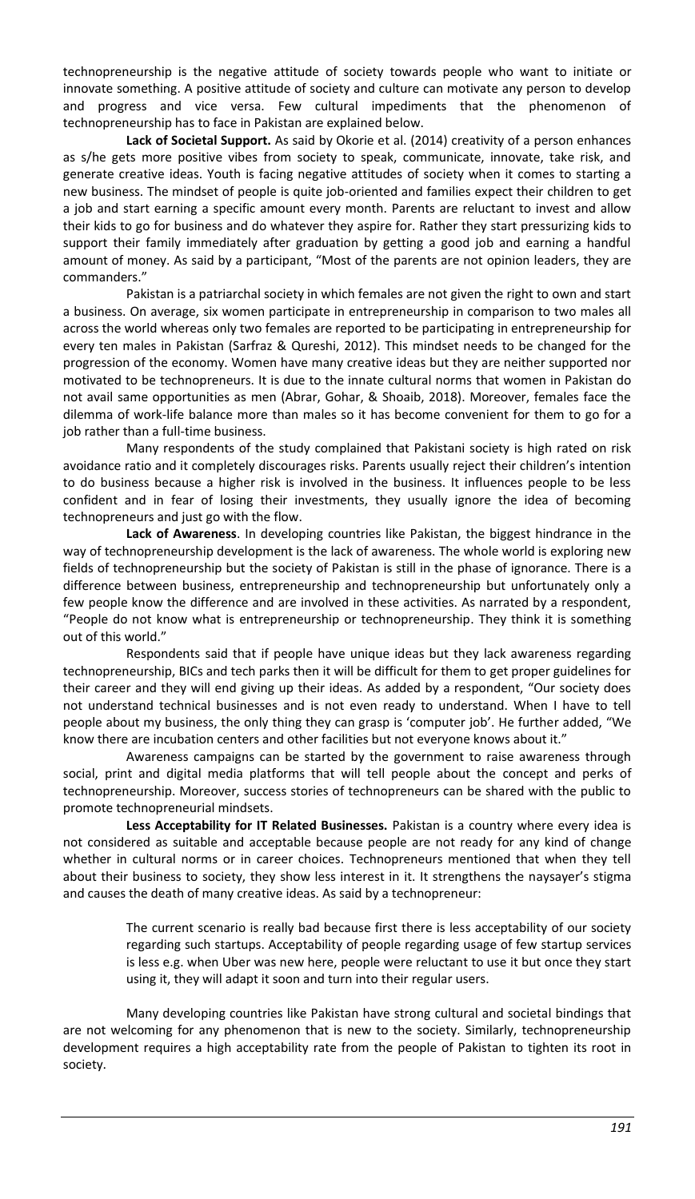technopreneurship is the negative attitude of society towards people who want to initiate or innovate something. A positive attitude of society and culture can motivate any person to develop and progress and vice versa. Few cultural impediments that the phenomenon of technopreneurship has to face in Pakistan are explained below.

**Lack of Societal Support.** As said by Okorie et al. (2014) creativity of a person enhances as s/he gets more positive vibes from society to speak, communicate, innovate, take risk, and generate creative ideas. Youth is facing negative attitudes of society when it comes to starting a new business. The mindset of people is quite job-oriented and families expect their children to get a job and start earning a specific amount every month. Parents are reluctant to invest and allow their kids to go for business and do whatever they aspire for. Rather they start pressurizing kids to support their family immediately after graduation by getting a good job and earning a handful amount of money. As said by a participant, "Most of the parents are not opinion leaders, they are commanders."

Pakistan is a patriarchal society in which females are not given the right to own and start a business. On average, six women participate in entrepreneurship in comparison to two males all across the world whereas only two females are reported to be participating in entrepreneurship for every ten males in Pakistan (Sarfraz & Qureshi, 2012). This mindset needs to be changed for the progression of the economy. Women have many creative ideas but they are neither supported nor motivated to be technopreneurs. It is due to the innate cultural norms that women in Pakistan do not avail same opportunities as men (Abrar, Gohar, & Shoaib, 2018). Moreover, females face the dilemma of work-life balance more than males so it has become convenient for them to go for a job rather than a full-time business.

Many respondents of the study complained that Pakistani society is high rated on risk avoidance ratio and it completely discourages risks. Parents usually reject their children's intention to do business because a higher risk is involved in the business. It influences people to be less confident and in fear of losing their investments, they usually ignore the idea of becoming technopreneurs and just go with the flow.

**Lack of Awareness**. In developing countries like Pakistan, the biggest hindrance in the way of technopreneurship development is the lack of awareness. The whole world is exploring new fields of technopreneurship but the society of Pakistan is still in the phase of ignorance. There is a difference between business, entrepreneurship and technopreneurship but unfortunately only a few people know the difference and are involved in these activities. As narrated by a respondent, "People do not know what is entrepreneurship or technopreneurship. They think it is something out of this world."

Respondents said that if people have unique ideas but they lack awareness regarding technopreneurship, BICs and tech parks then it will be difficult for them to get proper guidelines for their career and they will end giving up their ideas. As added by a respondent, "Our society does not understand technical businesses and is not even ready to understand. When I have to tell people about my business, the only thing they can grasp is 'computer job'. He further added, "We know there are incubation centers and other facilities but not everyone knows about it."

Awareness campaigns can be started by the government to raise awareness through social, print and digital media platforms that will tell people about the concept and perks of technopreneurship. Moreover, success stories of technopreneurs can be shared with the public to promote technopreneurial mindsets.

**Less Acceptability for IT Related Businesses.** Pakistan is a country where every idea is not considered as suitable and acceptable because people are not ready for any kind of change whether in cultural norms or in career choices. Technopreneurs mentioned that when they tell about their business to society, they show less interest in it. It strengthens the naysayer's stigma and causes the death of many creative ideas. As said by a technopreneur:

> The current scenario is really bad because first there is less acceptability of our society regarding such startups. Acceptability of people regarding usage of few startup services is less e.g. when Uber was new here, people were reluctant to use it but once they start using it, they will adapt it soon and turn into their regular users.

Many developing countries like Pakistan have strong cultural and societal bindings that are not welcoming for any phenomenon that is new to the society. Similarly, technopreneurship development requires a high acceptability rate from the people of Pakistan to tighten its root in society.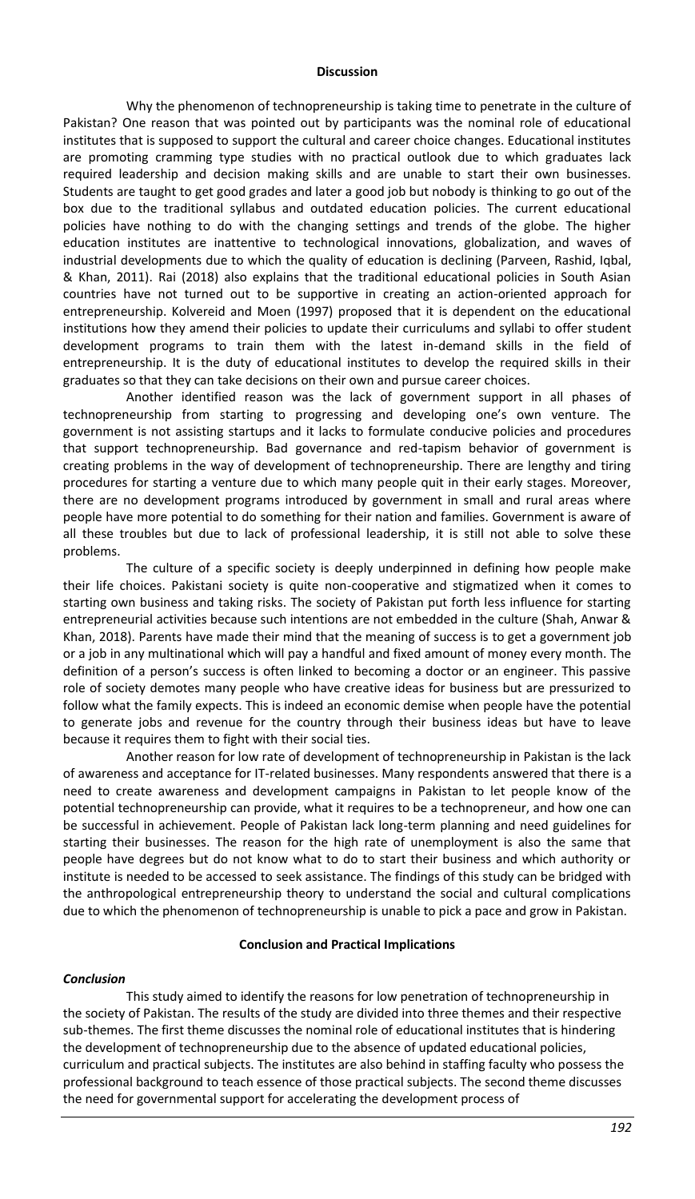#### **Discussion**

Why the phenomenon of technopreneurship is taking time to penetrate in the culture of Pakistan? One reason that was pointed out by participants was the nominal role of educational institutes that is supposed to support the cultural and career choice changes. Educational institutes are promoting cramming type studies with no practical outlook due to which graduates lack required leadership and decision making skills and are unable to start their own businesses. Students are taught to get good grades and later a good job but nobody is thinking to go out of the box due to the traditional syllabus and outdated education policies. The current educational policies have nothing to do with the changing settings and trends of the globe. The higher education institutes are inattentive to technological innovations, globalization, and waves of industrial developments due to which the quality of education is declining (Parveen, Rashid, Iqbal, & Khan, 2011). Rai (2018) also explains that the traditional educational policies in South Asian countries have not turned out to be supportive in creating an action-oriented approach for entrepreneurship. Kolvereid and Moen (1997) proposed that it is dependent on the educational institutions how they amend their policies to update their curriculums and syllabi to offer student development programs to train them with the latest in-demand skills in the field of entrepreneurship. It is the duty of educational institutes to develop the required skills in their graduates so that they can take decisions on their own and pursue career choices.

Another identified reason was the lack of government support in all phases of technopreneurship from starting to progressing and developing one's own venture. The government is not assisting startups and it lacks to formulate conducive policies and procedures that support technopreneurship. Bad governance and red-tapism behavior of government is creating problems in the way of development of technopreneurship. There are lengthy and tiring procedures for starting a venture due to which many people quit in their early stages. Moreover, there are no development programs introduced by government in small and rural areas where people have more potential to do something for their nation and families. Government is aware of all these troubles but due to lack of professional leadership, it is still not able to solve these problems.

The culture of a specific society is deeply underpinned in defining how people make their life choices. Pakistani society is quite non-cooperative and stigmatized when it comes to starting own business and taking risks. The society of Pakistan put forth less influence for starting entrepreneurial activities because such intentions are not embedded in the culture (Shah, Anwar & Khan, 2018). Parents have made their mind that the meaning of success is to get a government job or a job in any multinational which will pay a handful and fixed amount of money every month. The definition of a person's success is often linked to becoming a doctor or an engineer. This passive role of society demotes many people who have creative ideas for business but are pressurized to follow what the family expects. This is indeed an economic demise when people have the potential to generate jobs and revenue for the country through their business ideas but have to leave because it requires them to fight with their social ties.

Another reason for low rate of development of technopreneurship in Pakistan is the lack of awareness and acceptance for IT-related businesses. Many respondents answered that there is a need to create awareness and development campaigns in Pakistan to let people know of the potential technopreneurship can provide, what it requires to be a technopreneur, and how one can be successful in achievement. People of Pakistan lack long-term planning and need guidelines for starting their businesses. The reason for the high rate of unemployment is also the same that people have degrees but do not know what to do to start their business and which authority or institute is needed to be accessed to seek assistance. The findings of this study can be bridged with the anthropological entrepreneurship theory to understand the social and cultural complications due to which the phenomenon of technopreneurship is unable to pick a pace and grow in Pakistan.

### **Conclusion and Practical Implications**

### *Conclusion*

This study aimed to identify the reasons for low penetration of technopreneurship in the society of Pakistan. The results of the study are divided into three themes and their respective sub-themes. The first theme discusses the nominal role of educational institutes that is hindering the development of technopreneurship due to the absence of updated educational policies, curriculum and practical subjects. The institutes are also behind in staffing faculty who possess the professional background to teach essence of those practical subjects. The second theme discusses the need for governmental support for accelerating the development process of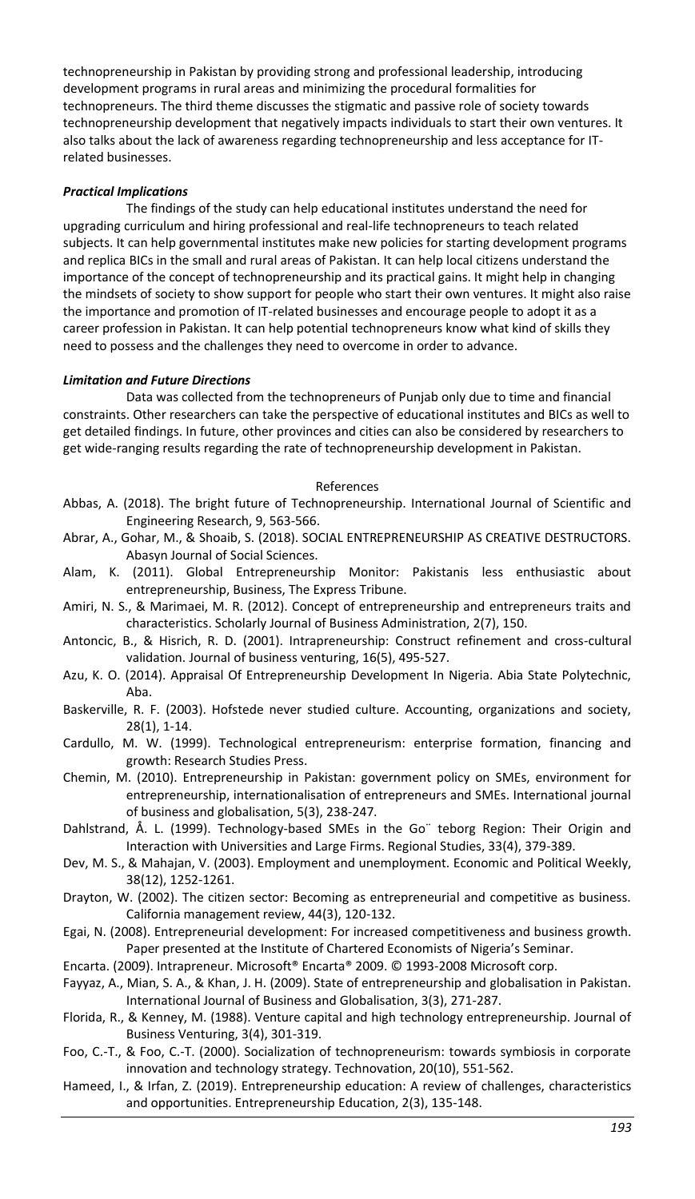technopreneurship in Pakistan by providing strong and professional leadership, introducing development programs in rural areas and minimizing the procedural formalities for technopreneurs. The third theme discusses the stigmatic and passive role of society towards technopreneurship development that negatively impacts individuals to start their own ventures. It also talks about the lack of awareness regarding technopreneurship and less acceptance for ITrelated businesses.

### *Practical Implications*

The findings of the study can help educational institutes understand the need for upgrading curriculum and hiring professional and real-life technopreneurs to teach related subjects. It can help governmental institutes make new policies for starting development programs and replica BICs in the small and rural areas of Pakistan. It can help local citizens understand the importance of the concept of technopreneurship and its practical gains. It might help in changing the mindsets of society to show support for people who start their own ventures. It might also raise the importance and promotion of IT-related businesses and encourage people to adopt it as a career profession in Pakistan. It can help potential technopreneurs know what kind of skills they need to possess and the challenges they need to overcome in order to advance.

### *Limitation and Future Directions*

Data was collected from the technopreneurs of Punjab only due to time and financial constraints. Other researchers can take the perspective of educational institutes and BICs as well to get detailed findings. In future, other provinces and cities can also be considered by researchers to get wide-ranging results regarding the rate of technopreneurship development in Pakistan.

#### References

- Abbas, A. (2018). The bright future of Technopreneurship. International Journal of Scientific and Engineering Research, 9, 563-566.
- Abrar, A., Gohar, M., & Shoaib, S. (2018). SOCIAL ENTREPRENEURSHIP AS CREATIVE DESTRUCTORS. Abasyn Journal of Social Sciences.
- Alam, K. (2011). Global Entrepreneurship Monitor: Pakistanis less enthusiastic about entrepreneurship, Business, The Express Tribune.
- Amiri, N. S., & Marimaei, M. R. (2012). Concept of entrepreneurship and entrepreneurs traits and characteristics. Scholarly Journal of Business Administration, 2(7), 150.
- Antoncic, B., & Hisrich, R. D. (2001). Intrapreneurship: Construct refinement and cross-cultural validation. Journal of business venturing, 16(5), 495-527.
- Azu, K. O. (2014). Appraisal Of Entrepreneurship Development In Nigeria. Abia State Polytechnic, Aba.
- Baskerville, R. F. (2003). Hofstede never studied culture. Accounting, organizations and society, 28(1), 1-14.
- Cardullo, M. W. (1999). Technological entrepreneurism: enterprise formation, financing and growth: Research Studies Press.
- Chemin, M. (2010). Entrepreneurship in Pakistan: government policy on SMEs, environment for entrepreneurship, internationalisation of entrepreneurs and SMEs. International journal of business and globalisation, 5(3), 238-247.
- Dahlstrand, Å. L. (1999). Technology-based SMEs in the Go¨ teborg Region: Their Origin and Interaction with Universities and Large Firms. Regional Studies, 33(4), 379-389.
- Dev, M. S., & Mahajan, V. (2003). Employment and unemployment. Economic and Political Weekly, 38(12), 1252-1261.
- Drayton, W. (2002). The citizen sector: Becoming as entrepreneurial and competitive as business. California management review, 44(3), 120-132.
- Egai, N. (2008). Entrepreneurial development: For increased competitiveness and business growth. Paper presented at the Institute of Chartered Economists of Nigeria's Seminar.
- Encarta. (2009). Intrapreneur. Microsoft® Encarta® 2009. © 1993-2008 Microsoft corp.
- Fayyaz, A., Mian, S. A., & Khan, J. H. (2009). State of entrepreneurship and globalisation in Pakistan. International Journal of Business and Globalisation, 3(3), 271-287.
- Florida, R., & Kenney, M. (1988). Venture capital and high technology entrepreneurship. Journal of Business Venturing, 3(4), 301-319.
- Foo, C.-T., & Foo, C.-T. (2000). Socialization of technopreneurism: towards symbiosis in corporate innovation and technology strategy. Technovation, 20(10), 551-562.
- Hameed, I., & Irfan, Z. (2019). Entrepreneurship education: A review of challenges, characteristics and opportunities. Entrepreneurship Education, 2(3), 135-148.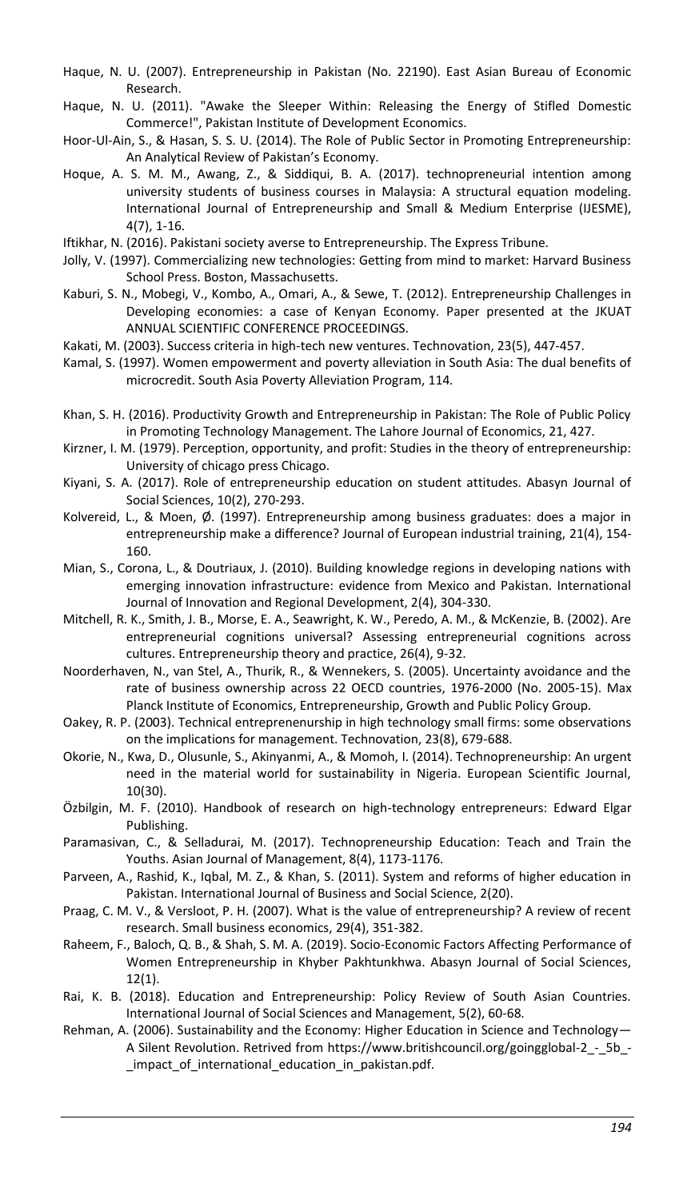- Haque, N. U. (2007). Entrepreneurship in Pakistan (No. 22190). East Asian Bureau of Economic Research.
- Haque, N. U. (2011). "Awake the Sleeper Within: Releasing the Energy of Stifled Domestic Commerce!", Pakistan Institute of Development Economics.
- Hoor-Ul-Ain, S., & Hasan, S. S. U. (2014). The Role of Public Sector in Promoting Entrepreneurship: An Analytical Review of Pakistan's Economy.
- Hoque, A. S. M. M., Awang, Z., & Siddiqui, B. A. (2017). technopreneurial intention among university students of business courses in Malaysia: A structural equation modeling. International Journal of Entrepreneurship and Small & Medium Enterprise (IJESME), 4(7), 1-16.
- Iftikhar, N. (2016). Pakistani society averse to Entrepreneurship. The Express Tribune.
- Jolly, V. (1997). Commercializing new technologies: Getting from mind to market: Harvard Business School Press. Boston, Massachusetts.
- Kaburi, S. N., Mobegi, V., Kombo, A., Omari, A., & Sewe, T. (2012). Entrepreneurship Challenges in Developing economies: a case of Kenyan Economy. Paper presented at the JKUAT ANNUAL SCIENTIFIC CONFERENCE PROCEEDINGS.
- Kakati, M. (2003). Success criteria in high-tech new ventures. Technovation, 23(5), 447-457.
- Kamal, S. (1997). Women empowerment and poverty alleviation in South Asia: The dual benefits of microcredit. South Asia Poverty Alleviation Program, 114.
- Khan, S. H. (2016). Productivity Growth and Entrepreneurship in Pakistan: The Role of Public Policy in Promoting Technology Management. The Lahore Journal of Economics, 21, 427.
- Kirzner, I. M. (1979). Perception, opportunity, and profit: Studies in the theory of entrepreneurship: University of chicago press Chicago.
- Kiyani, S. A. (2017). Role of entrepreneurship education on student attitudes. Abasyn Journal of Social Sciences, 10(2), 270-293.
- Kolvereid, L., & Moen, Ø. (1997). Entrepreneurship among business graduates: does a major in entrepreneurship make a difference? Journal of European industrial training, 21(4), 154- 160.
- Mian, S., Corona, L., & Doutriaux, J. (2010). Building knowledge regions in developing nations with emerging innovation infrastructure: evidence from Mexico and Pakistan. International Journal of Innovation and Regional Development, 2(4), 304-330.
- Mitchell, R. K., Smith, J. B., Morse, E. A., Seawright, K. W., Peredo, A. M., & McKenzie, B. (2002). Are entrepreneurial cognitions universal? Assessing entrepreneurial cognitions across cultures. Entrepreneurship theory and practice, 26(4), 9-32.
- Noorderhaven, N., van Stel, A., Thurik, R., & Wennekers, S. (2005). Uncertainty avoidance and the rate of business ownership across 22 OECD countries, 1976-2000 (No. 2005-15). Max Planck Institute of Economics, Entrepreneurship, Growth and Public Policy Group.
- Oakey, R. P. (2003). Technical entreprenenurship in high technology small firms: some observations on the implications for management. Technovation, 23(8), 679-688.
- Okorie, N., Kwa, D., Olusunle, S., Akinyanmi, A., & Momoh, I. (2014). Technopreneurship: An urgent need in the material world for sustainability in Nigeria. European Scientific Journal, 10(30).
- Özbilgin, M. F. (2010). Handbook of research on high-technology entrepreneurs: Edward Elgar Publishing.
- Paramasivan, C., & Selladurai, M. (2017). Technopreneurship Education: Teach and Train the Youths. Asian Journal of Management, 8(4), 1173-1176.
- Parveen, A., Rashid, K., Iqbal, M. Z., & Khan, S. (2011). System and reforms of higher education in Pakistan. International Journal of Business and Social Science, 2(20).
- Praag, C. M. V., & Versloot, P. H. (2007). What is the value of entrepreneurship? A review of recent research. Small business economics, 29(4), 351-382.
- Raheem, F., Baloch, Q. B., & Shah, S. M. A. (2019). Socio-Economic Factors Affecting Performance of Women Entrepreneurship in Khyber Pakhtunkhwa. Abasyn Journal of Social Sciences, 12(1).
- Rai, K. B. (2018). Education and Entrepreneurship: Policy Review of South Asian Countries. International Journal of Social Sciences and Management, 5(2), 60-68.
- Rehman, A. (2006). Sustainability and the Economy: Higher Education in Science and Technology— A Silent Revolution. Retrived from https://www.britishcouncil.org/goingglobal-2 - 5b -\_impact\_of\_international\_education\_in\_pakistan.pdf.